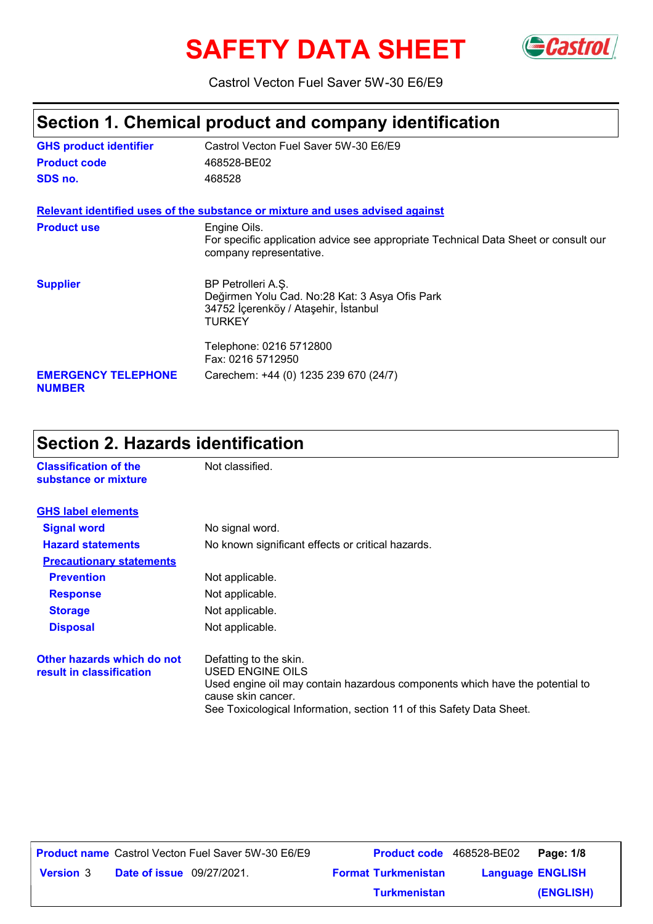# SAFETY DATA SHEET GCastrol



Castrol Vecton Fuel Saver 5W-30 E6/E9

# **Section 1. Chemical product and company identification**

| <b>GHS product identifier</b>               | Castrol Vecton Fuel Saver 5W-30 E6/E9                                                                                          |
|---------------------------------------------|--------------------------------------------------------------------------------------------------------------------------------|
| <b>Product code</b>                         | 468528-BE02                                                                                                                    |
| SDS no.                                     | 468528                                                                                                                         |
|                                             | Relevant identified uses of the substance or mixture and uses advised against                                                  |
| <b>Product use</b>                          | Engine Oils.<br>For specific application advice see appropriate Technical Data Sheet or consult our<br>company representative. |
| <b>Supplier</b>                             | BP Petrolleri A.S.<br>Değirmen Yolu Cad. No:28 Kat: 3 Asya Ofis Park<br>34752 İçerenköy / Ataşehir, İstanbul<br>TURKEY         |
|                                             | Telephone: 0216 5712800<br>Fax: 0216 5712950                                                                                   |
| <b>EMERGENCY TELEPHONE</b><br><b>NUMBER</b> | Carechem: +44 (0) 1235 239 670 (24/7)                                                                                          |

# **Section 2. Hazards identification**

| <b>Classification of the</b><br>substance or mixture   | Not classified.                                                                                                                                                                                                          |
|--------------------------------------------------------|--------------------------------------------------------------------------------------------------------------------------------------------------------------------------------------------------------------------------|
| <b>GHS label elements</b>                              |                                                                                                                                                                                                                          |
| <b>Signal word</b>                                     | No signal word.                                                                                                                                                                                                          |
| <b>Hazard statements</b>                               | No known significant effects or critical hazards.                                                                                                                                                                        |
| <b>Precautionary statements</b>                        |                                                                                                                                                                                                                          |
| <b>Prevention</b>                                      | Not applicable.                                                                                                                                                                                                          |
| <b>Response</b>                                        | Not applicable.                                                                                                                                                                                                          |
| <b>Storage</b>                                         | Not applicable.                                                                                                                                                                                                          |
| <b>Disposal</b>                                        | Not applicable.                                                                                                                                                                                                          |
| Other hazards which do not<br>result in classification | Defatting to the skin.<br>USED ENGINE OILS<br>Used engine oil may contain hazardous components which have the potential to<br>cause skin cancer.<br>See Toxicological Information, section 11 of this Safety Data Sheet. |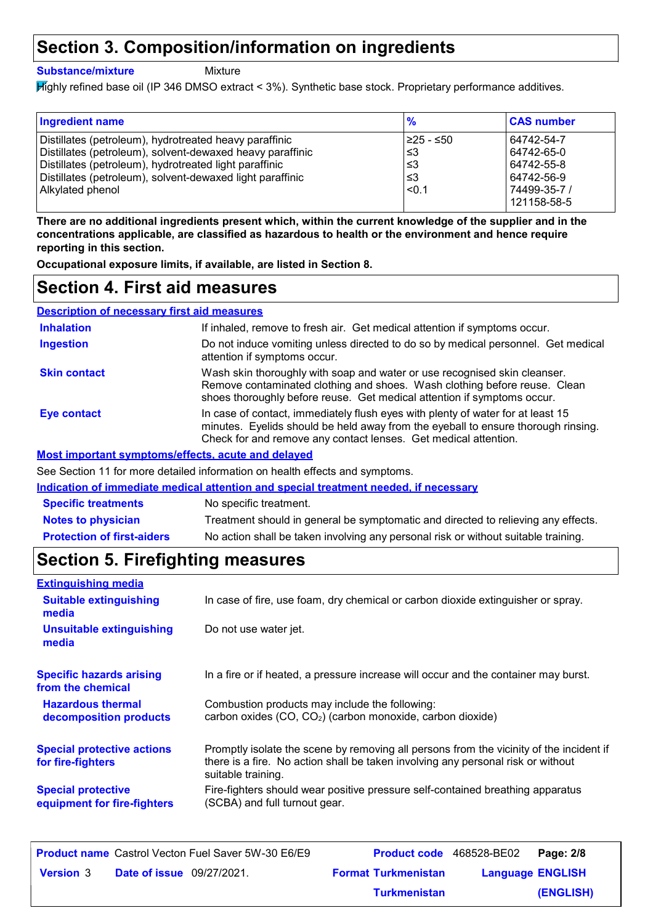### **Section 3. Composition/information on ingredients**

#### **Substance/mixture**

Mixture

Highly refined base oil (IP 346 DMSO extract < 3%). Synthetic base stock. Proprietary performance additives.

| <b>Ingredient name</b>                                    | $\frac{9}{6}$ | <b>CAS number</b>           |
|-----------------------------------------------------------|---------------|-----------------------------|
| Distillates (petroleum), hydrotreated heavy paraffinic    | l≥25 - ≤50    | 64742-54-7                  |
| Distillates (petroleum), solvent-dewaxed heavy paraffinic | ՝≤3           | 64742-65-0                  |
| Distillates (petroleum), hydrotreated light paraffinic    | ՝≤3           | 64742-55-8                  |
| Distillates (petroleum), solvent-dewaxed light paraffinic | ՝≤3           | 64742-56-9                  |
| Alkylated phenol                                          | < 0.1         | 74499-35-7 /<br>121158-58-5 |

**There are no additional ingredients present which, within the current knowledge of the supplier and in the concentrations applicable, are classified as hazardous to health or the environment and hence require reporting in this section.**

**Occupational exposure limits, if available, are listed in Section 8.**

### **Section 4. First aid measures**

| <b>Description of necessary first aid measures</b>        |                                                                                                                                                                                                                                         |  |
|-----------------------------------------------------------|-----------------------------------------------------------------------------------------------------------------------------------------------------------------------------------------------------------------------------------------|--|
| <b>Inhalation</b>                                         | If inhaled, remove to fresh air. Get medical attention if symptoms occur.                                                                                                                                                               |  |
| <b>Ingestion</b>                                          | Do not induce vomiting unless directed to do so by medical personnel. Get medical<br>attention if symptoms occur.                                                                                                                       |  |
| <b>Skin contact</b>                                       | Wash skin thoroughly with soap and water or use recognised skin cleanser.<br>Remove contaminated clothing and shoes. Wash clothing before reuse. Clean<br>shoes thoroughly before reuse. Get medical attention if symptoms occur.       |  |
| <b>Eye contact</b>                                        | In case of contact, immediately flush eyes with plenty of water for at least 15<br>minutes. Eyelids should be held away from the eyeball to ensure thorough rinsing.<br>Check for and remove any contact lenses. Get medical attention. |  |
| <b>Most important symptoms/effects, acute and delayed</b> |                                                                                                                                                                                                                                         |  |

See Section 11 for more detailed information on health effects and symptoms.

**Indication of immediate medical attention and special treatment needed, if necessary**

| <b>Specific treatments</b>        | No specific treatment.                                                             |
|-----------------------------------|------------------------------------------------------------------------------------|
| <b>Notes to physician</b>         | Treatment should in general be symptomatic and directed to relieving any effects.  |
| <b>Protection of first-aiders</b> | No action shall be taken involving any personal risk or without suitable training. |

## **Section 5. Firefighting measures**

| <b>Extinguishing media</b>                               |                                                                                                                                                                                                   |
|----------------------------------------------------------|---------------------------------------------------------------------------------------------------------------------------------------------------------------------------------------------------|
| <b>Suitable extinguishing</b><br>media                   | In case of fire, use foam, dry chemical or carbon dioxide extinguisher or spray.                                                                                                                  |
| <b>Unsuitable extinguishing</b><br>media                 | Do not use water jet.                                                                                                                                                                             |
| <b>Specific hazards arising</b><br>from the chemical     | In a fire or if heated, a pressure increase will occur and the container may burst.                                                                                                               |
| <b>Hazardous thermal</b><br>decomposition products       | Combustion products may include the following:<br>carbon oxides (CO, CO <sub>2</sub> ) (carbon monoxide, carbon dioxide)                                                                          |
| <b>Special protective actions</b><br>for fire-fighters   | Promptly isolate the scene by removing all persons from the vicinity of the incident if<br>there is a fire. No action shall be taken involving any personal risk or without<br>suitable training. |
| <b>Special protective</b><br>equipment for fire-fighters | Fire-fighters should wear positive pressure self-contained breathing apparatus<br>(SCBA) and full turnout gear.                                                                                   |

| <b>Product name</b> Castrol Vecton Fuel Saver 5W-30 E6/E9 | <b>Product code</b> 468528-BE02 |                         | Page: 2/8 |
|-----------------------------------------------------------|---------------------------------|-------------------------|-----------|
| <b>Date of issue</b> 09/27/2021.<br><b>Version 3</b>      | <b>Format Turkmenistan</b>      | <b>Language ENGLISH</b> |           |
|                                                           | <b>Turkmenistan</b>             |                         | (ENGLISH) |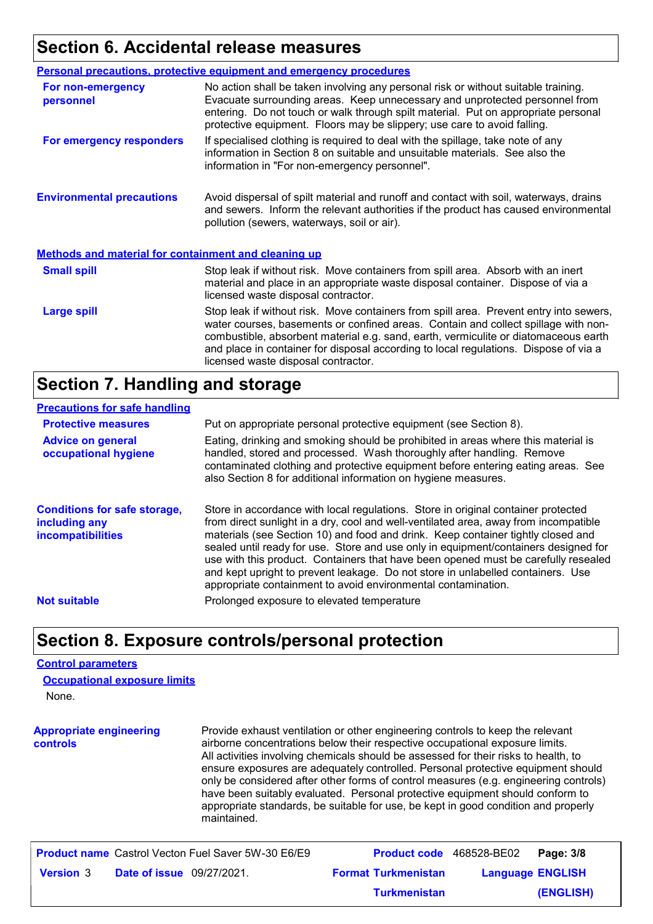## **Section 6. Accidental release measures**

|                                                             | <b>Personal precautions, protective equipment and emergency procedures</b>                                                                                                                                                                                                                                                                                                                         |
|-------------------------------------------------------------|----------------------------------------------------------------------------------------------------------------------------------------------------------------------------------------------------------------------------------------------------------------------------------------------------------------------------------------------------------------------------------------------------|
| For non-emergency<br>personnel                              | No action shall be taken involving any personal risk or without suitable training.<br>Evacuate surrounding areas. Keep unnecessary and unprotected personnel from<br>entering. Do not touch or walk through spilt material. Put on appropriate personal<br>protective equipment. Floors may be slippery; use care to avoid falling.                                                                |
| For emergency responders                                    | If specialised clothing is required to deal with the spillage, take note of any<br>information in Section 8 on suitable and unsuitable materials. See also the<br>information in "For non-emergency personnel".                                                                                                                                                                                    |
| <b>Environmental precautions</b>                            | Avoid dispersal of spilt material and runoff and contact with soil, waterways, drains<br>and sewers. Inform the relevant authorities if the product has caused environmental<br>pollution (sewers, waterways, soil or air).                                                                                                                                                                        |
| <b>Methods and material for containment and cleaning up</b> |                                                                                                                                                                                                                                                                                                                                                                                                    |
| <b>Small spill</b>                                          | Stop leak if without risk. Move containers from spill area. Absorb with an inert<br>material and place in an appropriate waste disposal container. Dispose of via a<br>licensed waste disposal contractor.                                                                                                                                                                                         |
| <b>Large spill</b>                                          | Stop leak if without risk. Move containers from spill area. Prevent entry into sewers,<br>water courses, basements or confined areas. Contain and collect spillage with non-<br>combustible, absorbent material e.g. sand, earth, vermiculite or diatomaceous earth<br>and place in container for disposal according to local regulations. Dispose of via a<br>licensed waste disposal contractor. |

### **Section 7. Handling and storage**

#### **Precautions for safe handling**

| <b>Protective measures</b>                                                | Put on appropriate personal protective equipment (see Section 8).                                                                                                                                                                                                                                                                                                                                                                                                                                                                                                                              |
|---------------------------------------------------------------------------|------------------------------------------------------------------------------------------------------------------------------------------------------------------------------------------------------------------------------------------------------------------------------------------------------------------------------------------------------------------------------------------------------------------------------------------------------------------------------------------------------------------------------------------------------------------------------------------------|
| <b>Advice on general</b><br>occupational hygiene                          | Eating, drinking and smoking should be prohibited in areas where this material is<br>handled, stored and processed. Wash thoroughly after handling. Remove<br>contaminated clothing and protective equipment before entering eating areas. See<br>also Section 8 for additional information on hygiene measures.                                                                                                                                                                                                                                                                               |
| <b>Conditions for safe storage,</b><br>including any<br>incompatibilities | Store in accordance with local regulations. Store in original container protected<br>from direct sunlight in a dry, cool and well-ventilated area, away from incompatible<br>materials (see Section 10) and food and drink. Keep container tightly closed and<br>sealed until ready for use. Store and use only in equipment/containers designed for<br>use with this product. Containers that have been opened must be carefully resealed<br>and kept upright to prevent leakage. Do not store in unlabelled containers. Use<br>appropriate containment to avoid environmental contamination. |
| <b>Not suitable</b>                                                       | Prolonged exposure to elevated temperature                                                                                                                                                                                                                                                                                                                                                                                                                                                                                                                                                     |

### **Section 8. Exposure controls/personal protection**

#### **Control parameters**

None. **Occupational exposure limits**

**Appropriate engineering controls** Provide exhaust ventilation or other engineering controls to keep the relevant airborne concentrations below their respective occupational exposure limits. All activities involving chemicals should be assessed for their risks to health, to ensure exposures are adequately controlled. Personal protective equipment should only be considered after other forms of control measures (e.g. engineering controls) have been suitably evaluated. Personal protective equipment should conform to appropriate standards, be suitable for use, be kept in good condition and properly maintained.

| <b>Product name</b> Castrol Vecton Fuel Saver 5W-30 E6/E9 | <b>Product code</b> 468528-BE02 |                         | Page: 3/8 |
|-----------------------------------------------------------|---------------------------------|-------------------------|-----------|
| <b>Date of issue</b> 09/27/2021.<br><b>Version</b> 3      | <b>Format Turkmenistan</b>      | <b>Language ENGLISH</b> |           |
|                                                           | <b>Turkmenistan</b>             |                         | (ENGLISH) |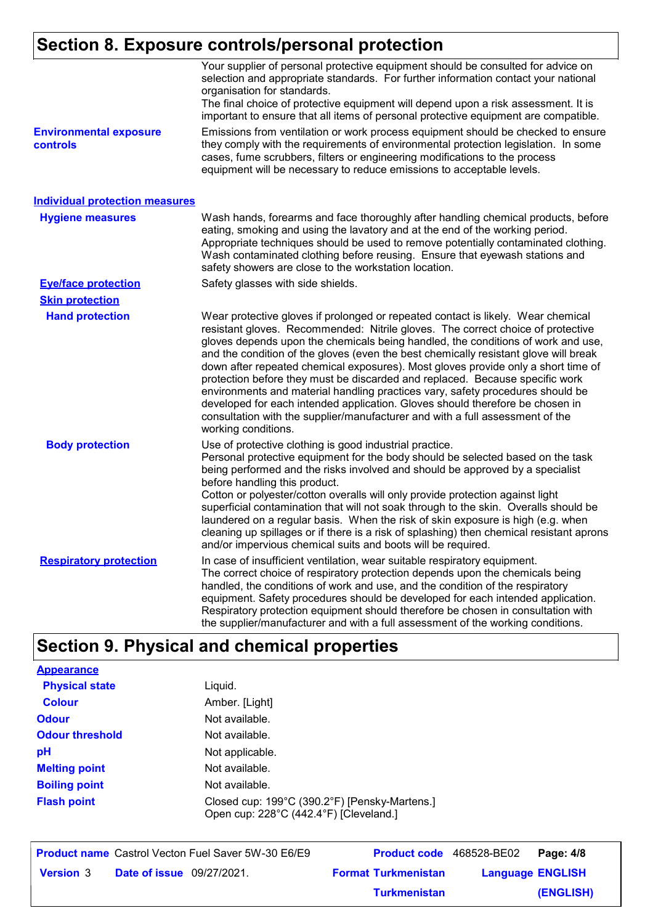# **Section 8. Exposure controls/personal protection**

| <b>Environmental exposure</b>         | Your supplier of personal protective equipment should be consulted for advice on<br>selection and appropriate standards. For further information contact your national<br>organisation for standards.<br>The final choice of protective equipment will depend upon a risk assessment. It is<br>important to ensure that all items of personal protective equipment are compatible.<br>Emissions from ventilation or work process equipment should be checked to ensure                                                                                                                                                                                                                                                                                                                          |
|---------------------------------------|-------------------------------------------------------------------------------------------------------------------------------------------------------------------------------------------------------------------------------------------------------------------------------------------------------------------------------------------------------------------------------------------------------------------------------------------------------------------------------------------------------------------------------------------------------------------------------------------------------------------------------------------------------------------------------------------------------------------------------------------------------------------------------------------------|
| controls                              | they comply with the requirements of environmental protection legislation. In some<br>cases, fume scrubbers, filters or engineering modifications to the process<br>equipment will be necessary to reduce emissions to acceptable levels.                                                                                                                                                                                                                                                                                                                                                                                                                                                                                                                                                       |
| <b>Individual protection measures</b> |                                                                                                                                                                                                                                                                                                                                                                                                                                                                                                                                                                                                                                                                                                                                                                                                 |
| <b>Hygiene measures</b>               | Wash hands, forearms and face thoroughly after handling chemical products, before<br>eating, smoking and using the lavatory and at the end of the working period.<br>Appropriate techniques should be used to remove potentially contaminated clothing.<br>Wash contaminated clothing before reusing. Ensure that eyewash stations and<br>safety showers are close to the workstation location.                                                                                                                                                                                                                                                                                                                                                                                                 |
| <b>Eye/face protection</b>            | Safety glasses with side shields.                                                                                                                                                                                                                                                                                                                                                                                                                                                                                                                                                                                                                                                                                                                                                               |
| <b>Skin protection</b>                |                                                                                                                                                                                                                                                                                                                                                                                                                                                                                                                                                                                                                                                                                                                                                                                                 |
| <b>Hand protection</b>                | Wear protective gloves if prolonged or repeated contact is likely. Wear chemical<br>resistant gloves. Recommended: Nitrile gloves. The correct choice of protective<br>gloves depends upon the chemicals being handled, the conditions of work and use,<br>and the condition of the gloves (even the best chemically resistant glove will break<br>down after repeated chemical exposures). Most gloves provide only a short time of<br>protection before they must be discarded and replaced. Because specific work<br>environments and material handling practices vary, safety procedures should be<br>developed for each intended application. Gloves should therefore be chosen in<br>consultation with the supplier/manufacturer and with a full assessment of the<br>working conditions. |
| <b>Body protection</b>                | Use of protective clothing is good industrial practice.<br>Personal protective equipment for the body should be selected based on the task<br>being performed and the risks involved and should be approved by a specialist<br>before handling this product.<br>Cotton or polyester/cotton overalls will only provide protection against light<br>superficial contamination that will not soak through to the skin. Overalls should be<br>laundered on a regular basis. When the risk of skin exposure is high (e.g. when<br>cleaning up spillages or if there is a risk of splashing) then chemical resistant aprons<br>and/or impervious chemical suits and boots will be required.                                                                                                           |
| <b>Respiratory protection</b>         | In case of insufficient ventilation, wear suitable respiratory equipment.<br>The correct choice of respiratory protection depends upon the chemicals being<br>handled, the conditions of work and use, and the condition of the respiratory<br>equipment. Safety procedures should be developed for each intended application.<br>Respiratory protection equipment should therefore be chosen in consultation with<br>the supplier/manufacturer and with a full assessment of the working conditions.                                                                                                                                                                                                                                                                                           |

# **Section 9. Physical and chemical properties**

| <b>Appearance</b>      |                                                                                         |
|------------------------|-----------------------------------------------------------------------------------------|
| <b>Physical state</b>  | Liguid.                                                                                 |
| Colour                 | Amber. [Light]                                                                          |
| <b>Odour</b>           | Not available.                                                                          |
| <b>Odour threshold</b> | Not available.                                                                          |
| рH                     | Not applicable.                                                                         |
| <b>Melting point</b>   | Not available.                                                                          |
| <b>Boiling point</b>   | Not available.                                                                          |
| <b>Flash point</b>     | Closed cup: 199°C (390.2°F) [Pensky-Martens.]<br>Open cup: 228°C (442.4°F) [Cleveland.] |

|                  |                                  | <b>Product name</b> Castrol Vecton Fuel Saver 5W-30 E6/E9 |                            | <b>Product code</b> 468528-BE02 Page: 4/8 |           |
|------------------|----------------------------------|-----------------------------------------------------------|----------------------------|-------------------------------------------|-----------|
| <b>Version</b> 3 | <b>Date of issue</b> 09/27/2021. |                                                           | <b>Format Turkmenistan</b> | <b>Language ENGLISH</b>                   |           |
|                  |                                  |                                                           | <b>Turkmenistan</b>        |                                           | (ENGLISH) |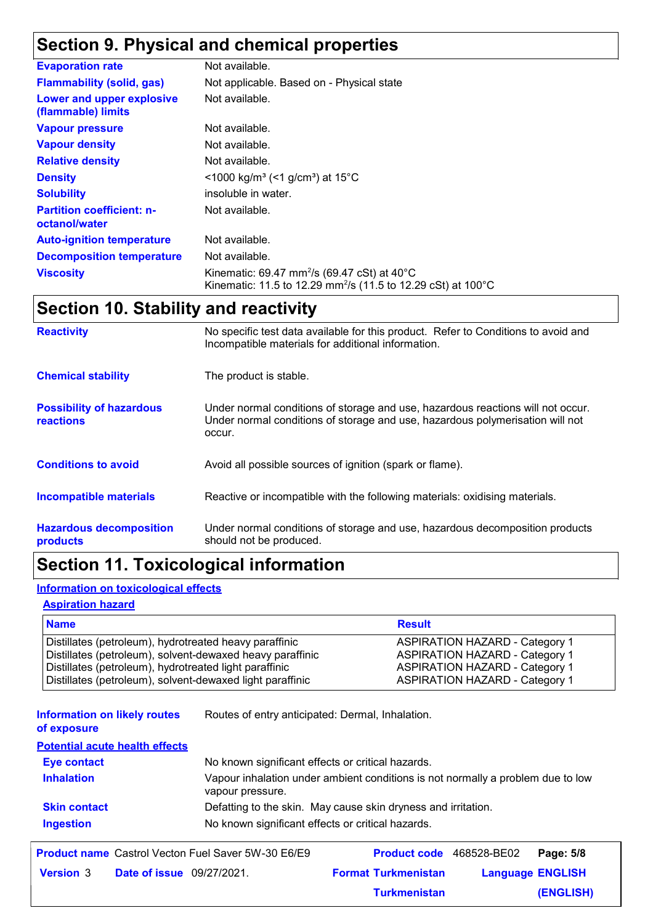# **Section 9. Physical and chemical properties**

| <b>Evaporation rate</b>                           | Not available.                                                                                                                                 |
|---------------------------------------------------|------------------------------------------------------------------------------------------------------------------------------------------------|
| <b>Flammability (solid, gas)</b>                  | Not applicable. Based on - Physical state                                                                                                      |
| Lower and upper explosive<br>(flammable) limits   | Not available.                                                                                                                                 |
| <b>Vapour pressure</b>                            | Not available.                                                                                                                                 |
| <b>Vapour density</b>                             | Not available.                                                                                                                                 |
| <b>Relative density</b>                           | Not available.                                                                                                                                 |
| <b>Density</b>                                    | $\leq$ 1000 kg/m <sup>3</sup> (<1 g/cm <sup>3</sup> ) at 15 <sup>°</sup> C                                                                     |
| <b>Solubility</b>                                 | insoluble in water.                                                                                                                            |
| <b>Partition coefficient: n-</b><br>octanol/water | Not available.                                                                                                                                 |
| <b>Auto-ignition temperature</b>                  | Not available.                                                                                                                                 |
| <b>Decomposition temperature</b>                  | Not available.                                                                                                                                 |
| <b>Viscosity</b>                                  | Kinematic: 69.47 mm <sup>2</sup> /s (69.47 cSt) at 40 $^{\circ}$ C<br>Kinematic: 11.5 to 12.29 mm <sup>2</sup> /s (11.5 to 12.29 cSt) at 100°C |

# **Section 10. Stability and reactivity**

| <b>Reactivity</b>                            | No specific test data available for this product. Refer to Conditions to avoid and<br>Incompatible materials for additional information.                                   |
|----------------------------------------------|----------------------------------------------------------------------------------------------------------------------------------------------------------------------------|
| <b>Chemical stability</b>                    | The product is stable.                                                                                                                                                     |
| <b>Possibility of hazardous</b><br>reactions | Under normal conditions of storage and use, hazardous reactions will not occur.<br>Under normal conditions of storage and use, hazardous polymerisation will not<br>occur. |
| <b>Conditions to avoid</b>                   | Avoid all possible sources of ignition (spark or flame).                                                                                                                   |
| <b>Incompatible materials</b>                | Reactive or incompatible with the following materials: oxidising materials.                                                                                                |
| <b>Hazardous decomposition</b><br>products   | Under normal conditions of storage and use, hazardous decomposition products<br>should not be produced.                                                                    |

# **Section 11. Toxicological information**

#### **Information on toxicological effects**

#### **Aspiration hazard**

| <b>Name</b>                                               | <b>Result</b>                         |
|-----------------------------------------------------------|---------------------------------------|
| Distillates (petroleum), hydrotreated heavy paraffinic    | <b>ASPIRATION HAZARD - Category 1</b> |
| Distillates (petroleum), solvent-dewaxed heavy paraffinic | <b>ASPIRATION HAZARD - Category 1</b> |
| Distillates (petroleum), hydrotreated light paraffinic    | <b>ASPIRATION HAZARD - Category 1</b> |
| Distillates (petroleum), solvent-dewaxed light paraffinic | <b>ASPIRATION HAZARD - Category 1</b> |

| <b>Information on likely routes</b> | Routes of entry anticipated: Dermal, Inhalation. |
|-------------------------------------|--------------------------------------------------|
|-------------------------------------|--------------------------------------------------|

**of exposure**

#### **Potential acute health effects**

| <b>Eye contact</b>  | No known significant effects or critical hazards.                                                   |
|---------------------|-----------------------------------------------------------------------------------------------------|
| <b>Inhalation</b>   | Vapour inhalation under ambient conditions is not normally a problem due to low<br>vapour pressure. |
| <b>Skin contact</b> | Defatting to the skin. May cause skin dryness and irritation.                                       |
| <b>Ingestion</b>    | No known significant effects or critical hazards.                                                   |

|                  |                                  | <b>Product name</b> Castrol Vecton Fuel Saver 5W-30 E6/E9 |                            | <b>Product code</b> 468528-BE02   Page: 5/8 |                         |
|------------------|----------------------------------|-----------------------------------------------------------|----------------------------|---------------------------------------------|-------------------------|
| <b>Version</b> 3 | <b>Date of issue</b> 09/27/2021. |                                                           | <b>Format Turkmenistan</b> |                                             | <b>Language ENGLISH</b> |
|                  |                                  |                                                           | <b>Turkmenistan</b>        |                                             | (ENGLISH)               |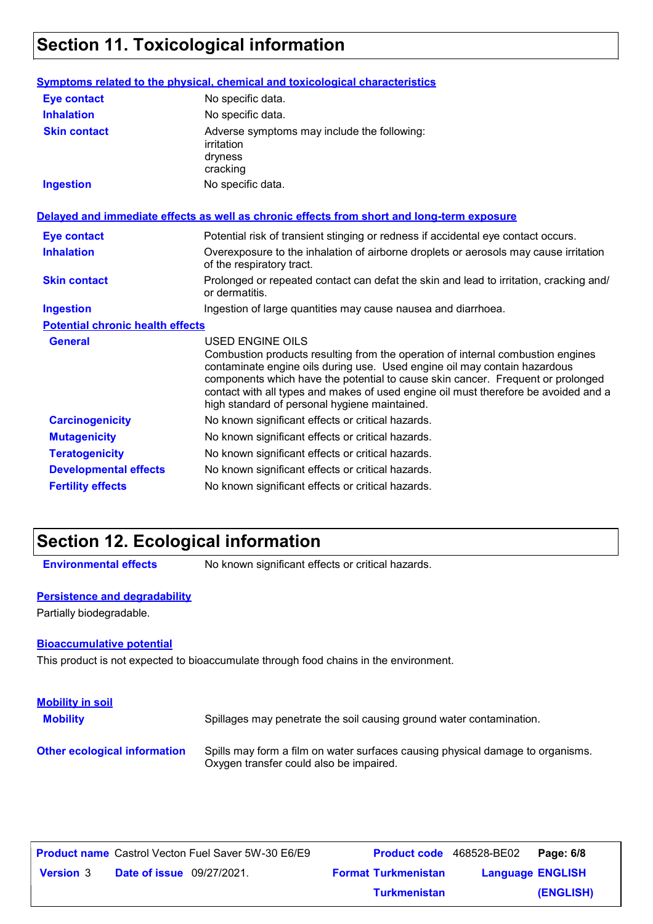# **Section 11. Toxicological information**

|                                         | Symptoms related to the physical, chemical and toxicological characteristics                                                                                                                                                                                                                                                                                                                                       |
|-----------------------------------------|--------------------------------------------------------------------------------------------------------------------------------------------------------------------------------------------------------------------------------------------------------------------------------------------------------------------------------------------------------------------------------------------------------------------|
| <b>Eye contact</b>                      | No specific data.                                                                                                                                                                                                                                                                                                                                                                                                  |
| <b>Inhalation</b>                       | No specific data.                                                                                                                                                                                                                                                                                                                                                                                                  |
| <b>Skin contact</b>                     | Adverse symptoms may include the following:<br>irritation<br>dryness<br>cracking                                                                                                                                                                                                                                                                                                                                   |
| <b>Ingestion</b>                        | No specific data.                                                                                                                                                                                                                                                                                                                                                                                                  |
|                                         | Delayed and immediate effects as well as chronic effects from short and long-term exposure                                                                                                                                                                                                                                                                                                                         |
| <b>Eye contact</b>                      | Potential risk of transient stinging or redness if accidental eye contact occurs.                                                                                                                                                                                                                                                                                                                                  |
| <b>Inhalation</b>                       | Overexposure to the inhalation of airborne droplets or aerosols may cause irritation<br>of the respiratory tract.                                                                                                                                                                                                                                                                                                  |
| <b>Skin contact</b>                     | Prolonged or repeated contact can defat the skin and lead to irritation, cracking and/<br>or dermatitis.                                                                                                                                                                                                                                                                                                           |
| <b>Ingestion</b>                        | Ingestion of large quantities may cause nausea and diarrhoea.                                                                                                                                                                                                                                                                                                                                                      |
| <b>Potential chronic health effects</b> |                                                                                                                                                                                                                                                                                                                                                                                                                    |
| <b>General</b>                          | <b>USED ENGINE OILS</b><br>Combustion products resulting from the operation of internal combustion engines<br>contaminate engine oils during use. Used engine oil may contain hazardous<br>components which have the potential to cause skin cancer. Frequent or prolonged<br>contact with all types and makes of used engine oil must therefore be avoided and a<br>high standard of personal hygiene maintained. |
| <b>Carcinogenicity</b>                  | No known significant effects or critical hazards.                                                                                                                                                                                                                                                                                                                                                                  |
| <b>Mutagenicity</b>                     | No known significant effects or critical hazards.                                                                                                                                                                                                                                                                                                                                                                  |
| <b>Teratogenicity</b>                   | No known significant effects or critical hazards.                                                                                                                                                                                                                                                                                                                                                                  |
| <b>Developmental effects</b>            | No known significant effects or critical hazards.                                                                                                                                                                                                                                                                                                                                                                  |
| <b>Fertility effects</b>                | No known significant effects or critical hazards.                                                                                                                                                                                                                                                                                                                                                                  |

# **Section 12. Ecological information**

**Environmental effects** No known significant effects or critical hazards.

#### **Persistence and degradability**

Partially biodegradable.

#### **Bioaccumulative potential**

This product is not expected to bioaccumulate through food chains in the environment.

| <b>Mobility in soil</b><br><b>Mobility</b> | Spillages may penetrate the soil causing ground water contamination.                                                      |
|--------------------------------------------|---------------------------------------------------------------------------------------------------------------------------|
| <b>Other ecological information</b>        | Spills may form a film on water surfaces causing physical damage to organisms.<br>Oxygen transfer could also be impaired. |

|                  |                                  | <b>Product name</b> Castrol Vecton Fuel Saver 5W-30 E6/E9 | <b>Product code</b> 468528-BE02 |                         | Page: 6/8 |
|------------------|----------------------------------|-----------------------------------------------------------|---------------------------------|-------------------------|-----------|
| <b>Version 3</b> | <b>Date of issue</b> 09/27/2021. |                                                           | <b>Format Turkmenistan</b>      | <b>Language ENGLISH</b> |           |
|                  |                                  |                                                           | <b>Turkmenistan</b>             |                         | (ENGLISH) |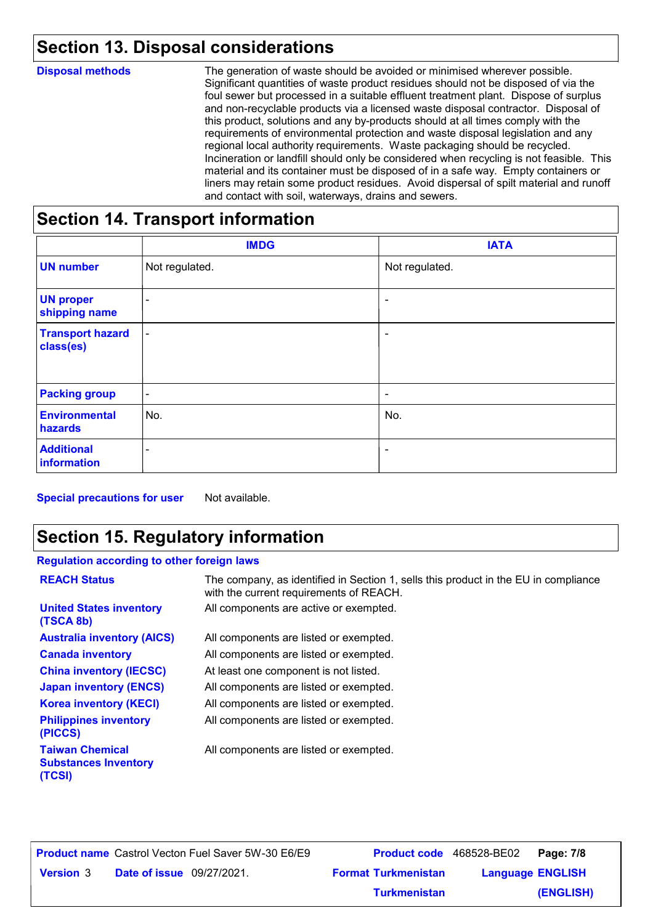# **Section 13. Disposal considerations**

| <b>Disposal methods</b> | The generation of waste should be avoided or minimised wherever possible.<br>Significant quantities of waste product residues should not be disposed of via the<br>foul sewer but processed in a suitable effluent treatment plant. Dispose of surplus<br>and non-recyclable products via a licensed waste disposal contractor. Disposal of<br>this product, solutions and any by-products should at all times comply with the<br>requirements of environmental protection and waste disposal legislation and any<br>regional local authority requirements. Waste packaging should be recycled.<br>Incineration or landfill should only be considered when recycling is not feasible. This<br>material and its container must be disposed of in a safe way. Empty containers or<br>liners may retain some product residues. Avoid dispersal of spilt material and runoff<br>and contact with soil, waterways, drains and sewers. |
|-------------------------|----------------------------------------------------------------------------------------------------------------------------------------------------------------------------------------------------------------------------------------------------------------------------------------------------------------------------------------------------------------------------------------------------------------------------------------------------------------------------------------------------------------------------------------------------------------------------------------------------------------------------------------------------------------------------------------------------------------------------------------------------------------------------------------------------------------------------------------------------------------------------------------------------------------------------------|
|                         |                                                                                                                                                                                                                                                                                                                                                                                                                                                                                                                                                                                                                                                                                                                                                                                                                                                                                                                                  |

### **Section 14. Transport information**

|                                      | <b>IMDG</b>              | <b>IATA</b>              |
|--------------------------------------|--------------------------|--------------------------|
| <b>UN number</b>                     | Not regulated.           | Not regulated.           |
| <b>UN proper</b><br>shipping name    | $\overline{\phantom{0}}$ | $\overline{\phantom{a}}$ |
| <b>Transport hazard</b><br>class(es) | $\blacksquare$           | ۰                        |
| <b>Packing group</b>                 | $\overline{\phantom{a}}$ | $\overline{\phantom{a}}$ |
| <b>Environmental</b><br>hazards      | No.                      | No.                      |
| <b>Additional</b><br>information     | $\overline{\phantom{a}}$ | ۰                        |

**Special precautions for user** Not available.

# **Section 15. Regulatory information**

#### **Regulation according to other foreign laws**

| <b>REACH Status</b>                                             | The company, as identified in Section 1, sells this product in the EU in compliance<br>with the current requirements of REACH. |
|-----------------------------------------------------------------|--------------------------------------------------------------------------------------------------------------------------------|
| <b>United States inventory</b><br>(TSCA 8b)                     | All components are active or exempted.                                                                                         |
| <b>Australia inventory (AICS)</b>                               | All components are listed or exempted.                                                                                         |
| <b>Canada inventory</b>                                         | All components are listed or exempted.                                                                                         |
| <b>China inventory (IECSC)</b>                                  | At least one component is not listed.                                                                                          |
| <b>Japan inventory (ENCS)</b>                                   | All components are listed or exempted.                                                                                         |
| <b>Korea inventory (KECI)</b>                                   | All components are listed or exempted.                                                                                         |
| <b>Philippines inventory</b><br>(PICCS)                         | All components are listed or exempted.                                                                                         |
| <b>Taiwan Chemical</b><br><b>Substances Inventory</b><br>(TCSI) | All components are listed or exempted.                                                                                         |